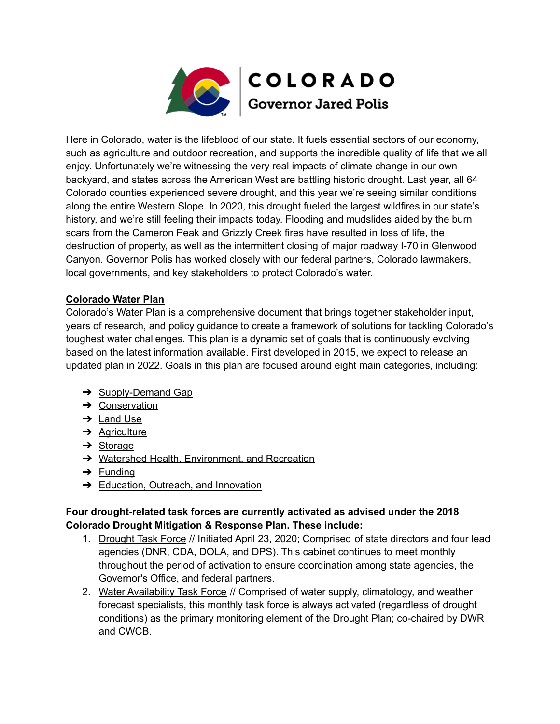

Here in Colorado, water is the lifeblood of our state. It fuels essential sectors of our economy, such as agriculture and outdoor recreation, and supports the incredible quality of life that we all enjoy. Unfortunately we're witnessing the very real impacts of climate change in our own backyard, and states across the American West are battling historic drought. Last year, all 64 Colorado counties experienced severe drought, and this year we're seeing similar conditions along the entire Western Slope. In 2020, this drought fueled the largest wildfires in our state's history, and we're still feeling their impacts today. Flooding and mudslides aided by the burn scars from the Cameron Peak and Grizzly Creek fires have resulted in loss of life, the destruction of property, as well as the intermittent closing of major roadway I-70 in Glenwood Canyon. Governor Polis has worked closely with our federal partners, Colorado lawmakers, local governments, and key stakeholders to protect Colorado's water.

## **Colorado Water Plan**

Colorado's Water Plan is a comprehensive document that brings together stakeholder input, years of research, and policy guidance to create a framework of solutions for tackling Colorado's toughest water challenges. This plan is a dynamic set of goals that is continuously evolving based on the latest information available. First developed in 2015, we expect to release an updated plan in 2022. Goals in this plan are focused around eight main categories, including:

- **→ Supply-Demand Gap**
- → Conservation
- ➔ Land Use
- **→** Agriculture
- $\rightarrow$  Storage
- **→** Watershed Health, Environment, and Recreation
- $\rightarrow$  Funding
- **→ Education, Outreach, and Innovation**

## **Four drought-related task forces are currently activated as advised under the 2018 Colorado Drought Mitigation & Response Plan. These include:**

- 1. Drought Task Force // Initiated April 23, 2020; Comprised of state directors and four lead agencies (DNR, CDA, DOLA, and DPS). This cabinet continues to meet monthly throughout the period of activation to ensure coordination among state agencies, the Governor's Office, and federal partners.
- 2. Water Availability Task Force // Comprised of water supply, climatology, and weather forecast specialists, this monthly task force is always activated (regardless of drought conditions) as the primary monitoring element of the Drought Plan; co-chaired by DWR and CWCB.